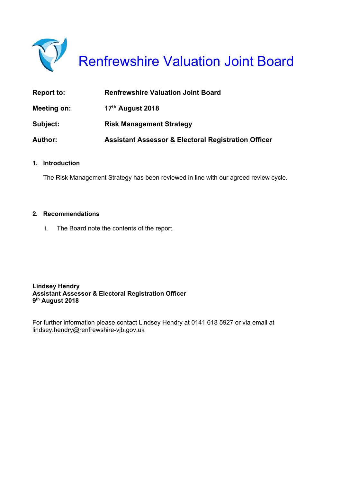

Renfrewshire Valuation Joint Board

| <b>Report to:</b> | <b>Renfrewshire Valuation Joint Board</b>                      |
|-------------------|----------------------------------------------------------------|
| Meeting on:       | 17 <sup>th</sup> August 2018                                   |
| Subject:          | <b>Risk Management Strategy</b>                                |
| <b>Author:</b>    | <b>Assistant Assessor &amp; Electoral Registration Officer</b> |

#### **1. Introduction**

The Risk Management Strategy has been reviewed in line with our agreed review cycle.

#### **2. Recommendations**

i. The Board note the contents of the report.

**Lindsey Hendry Assistant Assessor & Electoral Registration Officer 9th August 2018** 

For further information please contact Lindsey Hendry at 0141 618 5927 or via email at lindsey.hendry@renfrewshire-vjb.gov.uk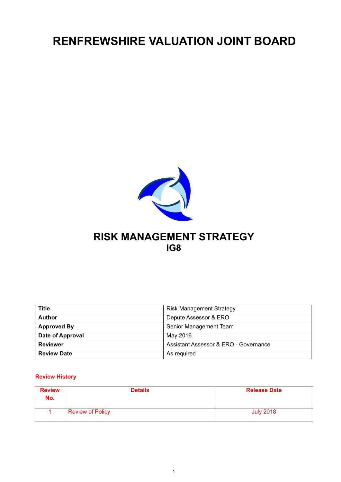# **RENFREWSHIRE VALUATION JOINT BOARD**



## **RISK MANAGEMENT STRATEGY IG8**

| <b>Title</b>       | <b>Risk Management Strategy</b>       |
|--------------------|---------------------------------------|
| <b>Author</b>      | Depute Assessor & ERO                 |
| <b>Approved By</b> | Senior Management Team                |
| Date of Approval   | May 2016                              |
| <b>Reviewer</b>    | Assistant Assessor & ERO - Governance |
| <b>Review Date</b> | As required                           |

#### **Review History**

| <b>Review</b><br>No. | <b>Details</b>          | <b>Release Date</b> |
|----------------------|-------------------------|---------------------|
|                      | <b>Review of Policy</b> | <b>July 2018</b>    |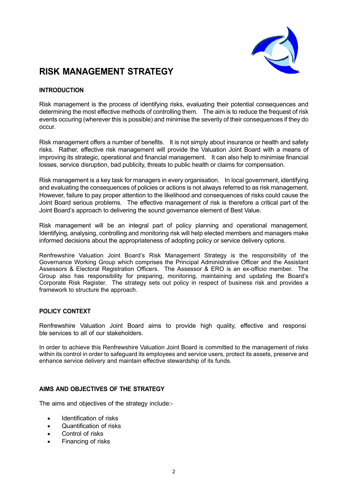

## **RISK MANAGEMENT STRATEGY**

#### **INTRODUCTION**

Risk management is the process of identifying risks, evaluating their potential consequences and determining the most effective methods of controlling them. The aim is to reduce the frequest of risk events occuring (wherever this is possible) and minimise the severity of their consequences if they do occur.

Risk management offers a number of benefits. It is not simply about insurance or health and safety risks. Rather, effective risk management will provide the Valuation Joint Board with a means of improving its strategic, operational and financial management. It can also help to minimise financial losses, service disruption, bad publicity, threats to public health or claims for compensation.

Risk management is a key task for managers in every organisation. In local government, identifying and evaluating the consequences of policies or actions is not always referred to as risk management. However, failure to pay proper attention to the likelihood and consequences of risks could cause the Joint Board serious problems. The effective management of risk is therefore a critical part of the Joint Board's approach to delivering the sound governance element of Best Value.

Risk management will be an integral part of policy planning and operational management. Identifying, analysing, controlling and monitoring risk will help elected members and managers make informed decisions about the appropriateness of adopting policy or service delivery options.

Renfrewshire Valuation Joint Board's Risk Management Strategy is the responsibility of the Governance Working Group which comprises the Principal Administrative Officer and the Assistant Assessors & Electoral Registration Officers. The Assessor & ERO is an ex-officio member. The Group also has responsibility for preparing, monitoring, maintaining and updating the Board's Corporate Risk Register. The strategy sets out policy in respect of business risk and provides a framework to structure the approach.

#### **POLICY CONTEXT**

Renfrewshire Valuation Joint Board aims to provide high quality, effective and responsi ble services to all of our stakeholders.

In order to achieve this Renfrewshire Valuation Joint Board is committed to the management of risks within its control in order to safeguard its employees and service users, protect its assets, preserve and enhance service delivery and maintain effective stewardship of its funds.

#### **AIMS AND OBJECTIVES OF THE STRATEGY**

The aims and objectives of the strategy include:-

- Identification of risks
- Quantification of risks
- Control of risks
- Financing of risks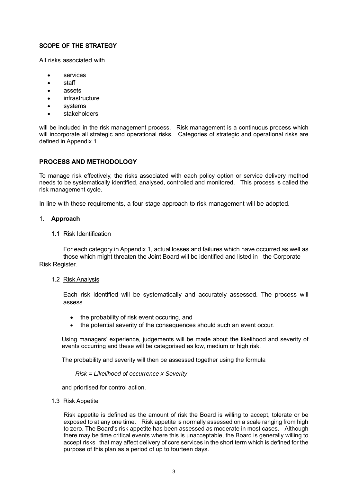#### **SCOPE OF THE STRATEGY**

All risks associated with

- services
- staff
- assets
- infrastructure
- systems
- stakeholders

will be included in the risk management process. Risk management is a continuous process which will incorporate all strategic and operational risks. Categories of strategic and operational risks are defined in Appendix 1.

#### **PROCESS AND METHODOLOGY**

To manage risk effectively, the risks associated with each policy option or service delivery method needs to be systematically identified, analysed, controlled and monitored. This process is called the risk management cycle.

In line with these requirements, a four stage approach to risk management will be adopted.

#### 1. **Approach**

#### 1.1 Risk Identification

 For each category in Appendix 1, actual losses and failures which have occurred as well as those which might threaten the Joint Board will be identified and listed in the Corporate Risk Register.

#### 1.2 Risk Analysis

 Each risk identified will be systematically and accurately assessed. The process will assess

- the probability of risk event occuring, and
- the potential severity of the consequences should such an event occur.

Using managers' experience, judgements will be made about the likelihood and severity of events occurring and these will be categorised as low, medium or high risk.

The probability and severity will then be assessed together using the formula

*Risk = Likelihood of occurrence x Severity* 

and priortised for control action.

#### 1.3 Risk Appetite

Risk appetite is defined as the amount of risk the Board is willing to accept, tolerate or be exposed to at any one time. Risk appetite is normally assessed on a scale ranging from high to zero. The Board's risk appetite has been assessed as moderate in most cases. Although there may be time critical events where this is unacceptable, the Board is generally willing to accept risks that may affect delivery of core services in the short term which is defined for the purpose of this plan as a period of up to fourteen days.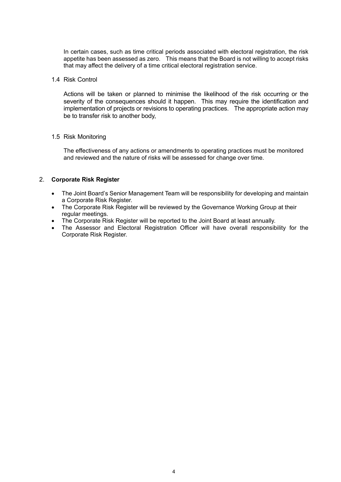In certain cases, such as time critical periods associated with electoral registration, the risk appetite has been assessed as zero. This means that the Board is not willing to accept risks that may affect the delivery of a time critical electoral registration service.

#### 1.4 Risk Control

 Actions will be taken or planned to minimise the likelihood of the risk occurring or the severity of the consequences should it happen. This may require the identification and implementation of projects or revisions to operating practices. The appropriate action may be to transfer risk to another body,

#### 1.5 Risk Monitoring

 The effectiveness of any actions or amendments to operating practices must be monitored and reviewed and the nature of risks will be assessed for change over time.

#### 2. **Corporate Risk Register**

- The Joint Board's Senior Management Team will be responsibility for developing and maintain a Corporate Risk Register.
- The Corporate Risk Register will be reviewed by the Governance Working Group at their regular meetings.
- The Corporate Risk Register will be reported to the Joint Board at least annually.
- The Assessor and Electoral Registration Officer will have overall responsibility for the Corporate Risk Register.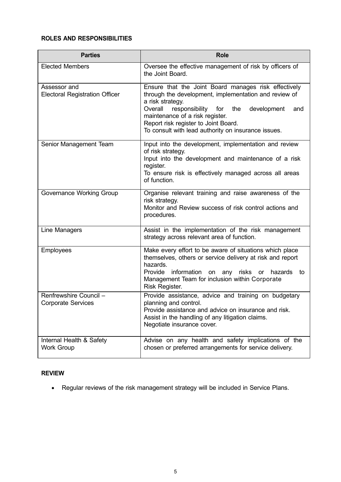### **ROLES AND RESPONSIBILITIES**

| <b>Parties</b>                                        | <b>Role</b>                                                                                                                                                                                                                                                                                                                       |
|-------------------------------------------------------|-----------------------------------------------------------------------------------------------------------------------------------------------------------------------------------------------------------------------------------------------------------------------------------------------------------------------------------|
| <b>Elected Members</b>                                | Oversee the effective management of risk by officers of<br>the Joint Board.                                                                                                                                                                                                                                                       |
| Assessor and<br><b>Electoral Registration Officer</b> | Ensure that the Joint Board manages risk effectively<br>through the development, implementation and review of<br>a risk strategy.<br>Overall<br>responsibility for<br>the<br>development<br>and<br>maintenance of a risk register.<br>Report risk register to Joint Board.<br>To consult with lead authority on insurance issues. |
| Senior Management Team                                | Input into the development, implementation and review<br>of risk strategy.<br>Input into the development and maintenance of a risk<br>register.<br>To ensure risk is effectively managed across all areas<br>of function.                                                                                                         |
| Governance Working Group                              | Organise relevant training and raise awareness of the<br>risk strategy.<br>Monitor and Review success of risk control actions and<br>procedures.                                                                                                                                                                                  |
| Line Managers                                         | Assist in the implementation of the risk management<br>strategy across relevant area of function.                                                                                                                                                                                                                                 |
| Employees                                             | Make every effort to be aware of situations which place<br>themselves, others or service delivery at risk and report<br>hazards.<br>Provide information<br>any risks or hazards<br>on<br>to<br>Management Team for inclusion within Corporate<br>Risk Register.                                                                   |
| Renfrewshire Council -<br><b>Corporate Services</b>   | Provide assistance, advice and training on budgetary<br>planning and control.<br>Provide assistance and advice on insurance and risk.<br>Assist in the handling of any litigation claims.<br>Negotiate insurance cover.                                                                                                           |
| Internal Health & Safety<br><b>Work Group</b>         | Advise on any health and safety implications of the<br>chosen or preferred arrangements for service delivery.                                                                                                                                                                                                                     |

### **REVIEW**

Regular reviews of the risk management strategy will be included in Service Plans.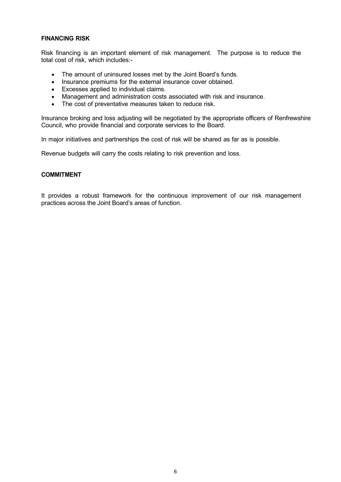#### **FINANCING RISK**

Risk financing is an important element of risk management. The purpose is to reduce the total cost of risk, which includes:-

- The amount of uninsured losses met by the Joint Board's funds.
- Insurance premiums for the external insurance cover obtained.
- Excesses applied to individual claims.
- Management and administration costs associated with risk and insurance.
- The cost of preventative measures taken to reduce risk.

Insurance broking and loss adjusting will be negotiated by the appropriate officers of Renfrewshire Council, who provide financial and corporate services to the Board.

In major initiatives and partnerships the cost of risk will be shared as far as is possible.

Revenue budgets will carry the costs relating to risk prevention and loss.

#### **COMMITMENT**

It provides a robust framework for the continuous improvement of our risk management practices across the Joint Board's areas of function.